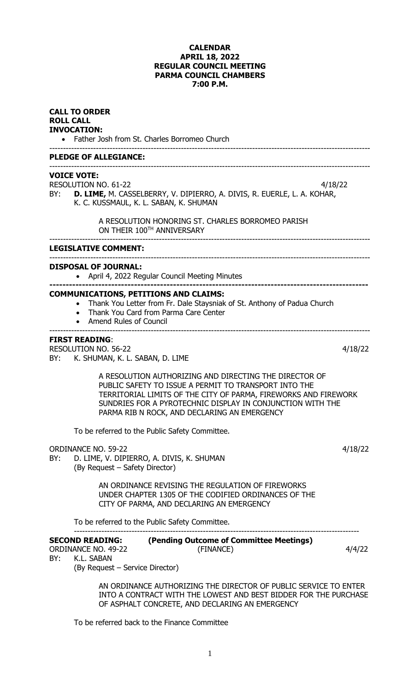# **CALENDAR APRIL 18, 2022 REGULAR COUNCIL MEETING PARMA COUNCIL CHAMBERS 7:00 P.M.**

| <b>CALL TO ORDER</b><br><b>ROLL CALL</b><br><b>INVOCATION:</b><br>• Father Josh from St. Charles Borromeo Church |                                                                                                                                                                                                                                                                                                  |         |  |  |  |
|------------------------------------------------------------------------------------------------------------------|--------------------------------------------------------------------------------------------------------------------------------------------------------------------------------------------------------------------------------------------------------------------------------------------------|---------|--|--|--|
| <b>PLEDGE OF ALLEGIANCE:</b>                                                                                     |                                                                                                                                                                                                                                                                                                  |         |  |  |  |
| BY:                                                                                                              | <b>VOICE VOTE:</b><br><b>RESOLUTION NO. 61-22</b><br>4/18/22<br>D. LIME, M. CASSELBERRY, V. DIPIERRO, A. DIVIS, R. EUERLE, L. A. KOHAR,<br>K. C. KUSSMAUL, K. L. SABAN, K. SHUMAN<br>A RESOLUTION HONORING ST. CHARLES BORROMEO PARISH<br>ON THEIR 100TH ANNIVERSARY                             |         |  |  |  |
|                                                                                                                  | <b>LEGISLATIVE COMMENT:</b>                                                                                                                                                                                                                                                                      |         |  |  |  |
|                                                                                                                  | <b>DISPOSAL OF JOURNAL:</b><br>April 4, 2022 Regular Council Meeting Minutes                                                                                                                                                                                                                     |         |  |  |  |
|                                                                                                                  | <b>COMMUNICATIONS, PETITIONS AND CLAIMS:</b><br>Thank You Letter from Fr. Dale Staysniak of St. Anthony of Padua Church<br>Thank You Card from Parma Care Center<br><b>Amend Rules of Council</b>                                                                                                |         |  |  |  |
| BY:                                                                                                              | <b>FIRST READING:</b><br><b>RESOLUTION NO. 56-22</b><br>K. SHUMAN, K. L. SABAN, D. LIME                                                                                                                                                                                                          | 4/18/22 |  |  |  |
|                                                                                                                  | A RESOLUTION AUTHORIZING AND DIRECTING THE DIRECTOR OF<br>PUBLIC SAFETY TO ISSUE A PERMIT TO TRANSPORT INTO THE<br>TERRITORIAL LIMITS OF THE CITY OF PARMA, FIREWORKS AND FIREWORK<br>SUNDRIES FOR A PYROTECHNIC DISPLAY IN CONJUNCTION WITH THE<br>PARMA RIB N ROCK, AND DECLARING AN EMERGENCY |         |  |  |  |
|                                                                                                                  | To be referred to the Public Safety Committee.                                                                                                                                                                                                                                                   |         |  |  |  |
| BY:                                                                                                              | <b>ORDINANCE NO. 59-22</b><br>D. LIME, V. DIPIERRO, A. DIVIS, K. SHUMAN<br>(By Request – Safety Director)                                                                                                                                                                                        | 4/18/22 |  |  |  |
|                                                                                                                  | AN ORDINANCE REVISING THE REGULATION OF FIREWORKS<br>UNDER CHAPTER 1305 OF THE CODIFIED ORDINANCES OF THE<br>CITY OF PARMA, AND DECLARING AN EMERGENCY                                                                                                                                           |         |  |  |  |
|                                                                                                                  | To be referred to the Public Safety Committee.                                                                                                                                                                                                                                                   |         |  |  |  |
| BY:                                                                                                              | (Pending Outcome of Committee Meetings)<br><b>SECOND READING:</b><br><b>ORDINANCE NO. 49-22</b><br>(FINANCE)<br>K.L. SABAN<br>(By Request – Service Director)                                                                                                                                    | 4/4/22  |  |  |  |
|                                                                                                                  | AN ORDINANCE AUTHORIZING THE DIRECTOR OF PUBLIC SERVICE TO ENTER<br>INTO A CONTRACT WITH THE LOWEST AND BEST BIDDER FOR THE PURCHASE<br>OF ASPHALT CONCRETE, AND DECLARING AN EMERGENCY                                                                                                          |         |  |  |  |
|                                                                                                                  | To be referred back to the Einance Committee                                                                                                                                                                                                                                                     |         |  |  |  |

To be referred back to the Finance Committee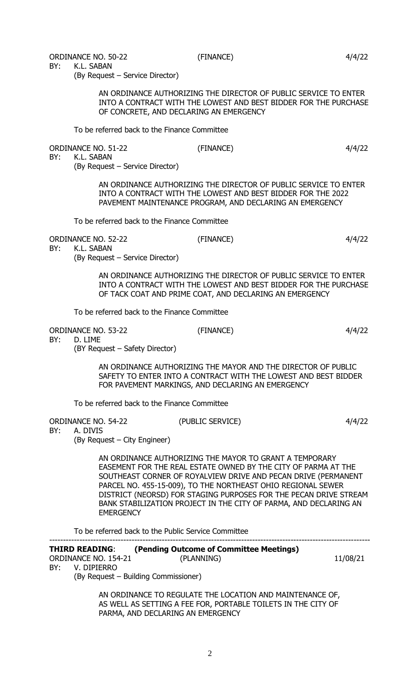BY: K.L. SABAN

(By Request – Service Director)

AN ORDINANCE AUTHORIZING THE DIRECTOR OF PUBLIC SERVICE TO ENTER INTO A CONTRACT WITH THE LOWEST AND BEST BIDDER FOR THE PURCHASE OF CONCRETE, AND DECLARING AN EMERGENCY

To be referred back to the Finance Committee

ORDINANCE NO. 51-22 (FINANCE) (FINANCE) 4/4/22

BY: K.L. SABAN

(By Request – Service Director)

AN ORDINANCE AUTHORIZING THE DIRECTOR OF PUBLIC SERVICE TO ENTER INTO A CONTRACT WITH THE LOWEST AND BEST BIDDER FOR THE 2022 PAVEMENT MAINTENANCE PROGRAM, AND DECLARING AN EMERGENCY

To be referred back to the Finance Committee

ORDINANCE NO. 52-22 (FINANCE) (FINANCE) 4/4/22 BY: K.L. SABAN

(By Request – Service Director)

AN ORDINANCE AUTHORIZING THE DIRECTOR OF PUBLIC SERVICE TO ENTER INTO A CONTRACT WITH THE LOWEST AND BEST BIDDER FOR THE PURCHASE OF TACK COAT AND PRIME COAT, AND DECLARING AN EMERGENCY

To be referred back to the Finance Committee

ORDINANCE NO. 53-22 (FINANCE) 4/4/22

BY: D. LIME

(BY Request – Safety Director)

AN ORDINANCE AUTHORIZING THE MAYOR AND THE DIRECTOR OF PUBLIC SAFETY TO ENTER INTO A CONTRACT WITH THE LOWEST AND BEST BIDDER FOR PAVEMENT MARKINGS, AND DECLARING AN EMERGENCY

To be referred back to the Finance Committee

| ORDINANCE NO. 54-22          | (PUBLIC SERVICE) | 4/4/22 |
|------------------------------|------------------|--------|
| BY: A. DIVIS                 |                  |        |
| (By Request – City Engineer) |                  |        |

AN ORDINANCE AUTHORIZING THE MAYOR TO GRANT A TEMPORARY EASEMENT FOR THE REAL ESTATE OWNED BY THE CITY OF PARMA AT THE SOUTHEAST CORNER OF ROYALVIEW DRIVE AND PECAN DRIVE (PERMANENT PARCEL NO. 455-15-009), TO THE NORTHEAST OHIO REGIONAL SEWER DISTRICT (NEORSD) FOR STAGING PURPOSES FOR THE PECAN DRIVE STREAM BANK STABILIZATION PROJECT IN THE CITY OF PARMA, AND DECLARING AN **EMERGENCY** 

To be referred back to the Public Service Committee

| <b>THIRD READING:</b>                                     | (Pending Outcome of Committee Meetings) |          |  |  |  |
|-----------------------------------------------------------|-----------------------------------------|----------|--|--|--|
| ORDINANCE NO. 154-21                                      | (PLANNING)                              | 11/08/21 |  |  |  |
| V. DIPIFRRO<br>BY:                                        |                                         |          |  |  |  |
| (By Request – Building Commissioner)                      |                                         |          |  |  |  |
| AN ORDINANCE TO REGULATE THE LOCATION AND MAINTENANCE OF, |                                         |          |  |  |  |

AS WELL AS SETTING A FEE FOR, PORTABLE TOILETS IN THE CITY OF PARMA, AND DECLARING AN EMERGENCY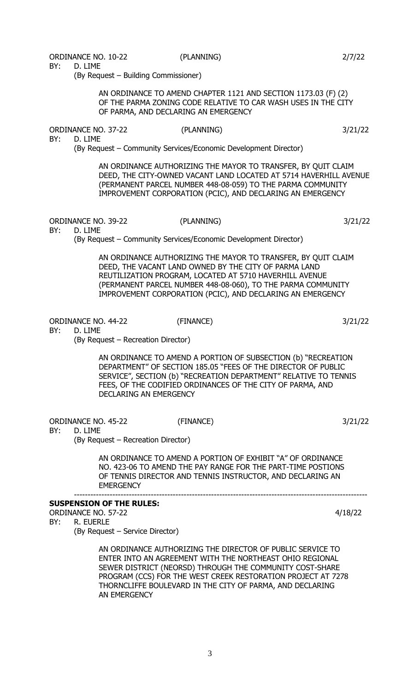ORDINANCE NO. 10-22 (PLANNING) 2/7/22

BY: D. LIME

(By Request – Building Commissioner)

AN ORDINANCE TO AMEND CHAPTER 1121 AND SECTION 1173.03 (F) (2) OF THE PARMA ZONING CODE RELATIVE TO CAR WASH USES IN THE CITY OF PARMA, AND DECLARING AN EMERGENCY

ORDINANCE NO. 37-22 (PLANNING) 3/21/22

BY: D. LIME

(By Request – Community Services/Economic Development Director)

AN ORDINANCE AUTHORIZING THE MAYOR TO TRANSFER, BY QUIT CLAIM DEED, THE CITY-OWNED VACANT LAND LOCATED AT 5714 HAVERHILL AVENUE (PERMANENT PARCEL NUMBER 448-08-059) TO THE PARMA COMMUNITY IMPROVEMENT CORPORATION (PCIC), AND DECLARING AN EMERGENCY

ORDINANCE NO. 39-22 (PLANNING) 3/21/22

BY: D. LIME

(By Request – Community Services/Economic Development Director)

AN ORDINANCE AUTHORIZING THE MAYOR TO TRANSFER, BY QUIT CLAIM DEED, THE VACANT LAND OWNED BY THE CITY OF PARMA LAND REUTILIZATION PROGRAM, LOCATED AT 5710 HAVERHILL AVENUE (PERMANENT PARCEL NUMBER 448-08-060), TO THE PARMA COMMUNITY IMPROVEMENT CORPORATION (PCIC), AND DECLARING AN EMERGENCY

ORDINANCE NO. 44-22 (FINANCE) 3/21/22

BY: D. LIME

(By Request – Recreation Director)

AN ORDINANCE TO AMEND A PORTION OF SUBSECTION (b) "RECREATION DEPARTMENT" OF SECTION 185.05 "FEES OF THE DIRECTOR OF PUBLIC SERVICE", SECTION (b) "RECREATION DEPARTMENT" RELATIVE TO TENNIS FEES, OF THE CODIFIED ORDINANCES OF THE CITY OF PARMA, AND DECLARING AN EMERGENCY

ORDINANCE NO. 45-22 (FINANCE) 3/21/22

BY: D. LIME

(By Request – Recreation Director)

AN ORDINANCE TO AMEND A PORTION OF EXHIBIT "A" OF ORDINANCE NO. 423-06 TO AMEND THE PAY RANGE FOR THE PART-TIME POSTIONS OF TENNIS DIRECTOR AND TENNIS INSTRUCTOR, AND DECLARING AN **EMERGENCY** 

-----------------------------------------------------------------------------------------------------------

**SUSPENSION OF THE RULES:**

ORDINANCE NO. 57-22 4/18/22

BY: R. EUERLE

(By Request – Service Director)

AN ORDINANCE AUTHORIZING THE DIRECTOR OF PUBLIC SERVICE TO ENTER INTO AN AGREEMENT WITH THE NORTHEAST OHIO REGIONAL SEWER DISTRICT (NEORSD) THROUGH THE COMMUNITY COST-SHARE PROGRAM (CCS) FOR THE WEST CREEK RESTORATION PROJECT AT 7278 THORNCLIFFE BOULEVARD IN THE CITY OF PARMA, AND DECLARING AN EMERGENCY